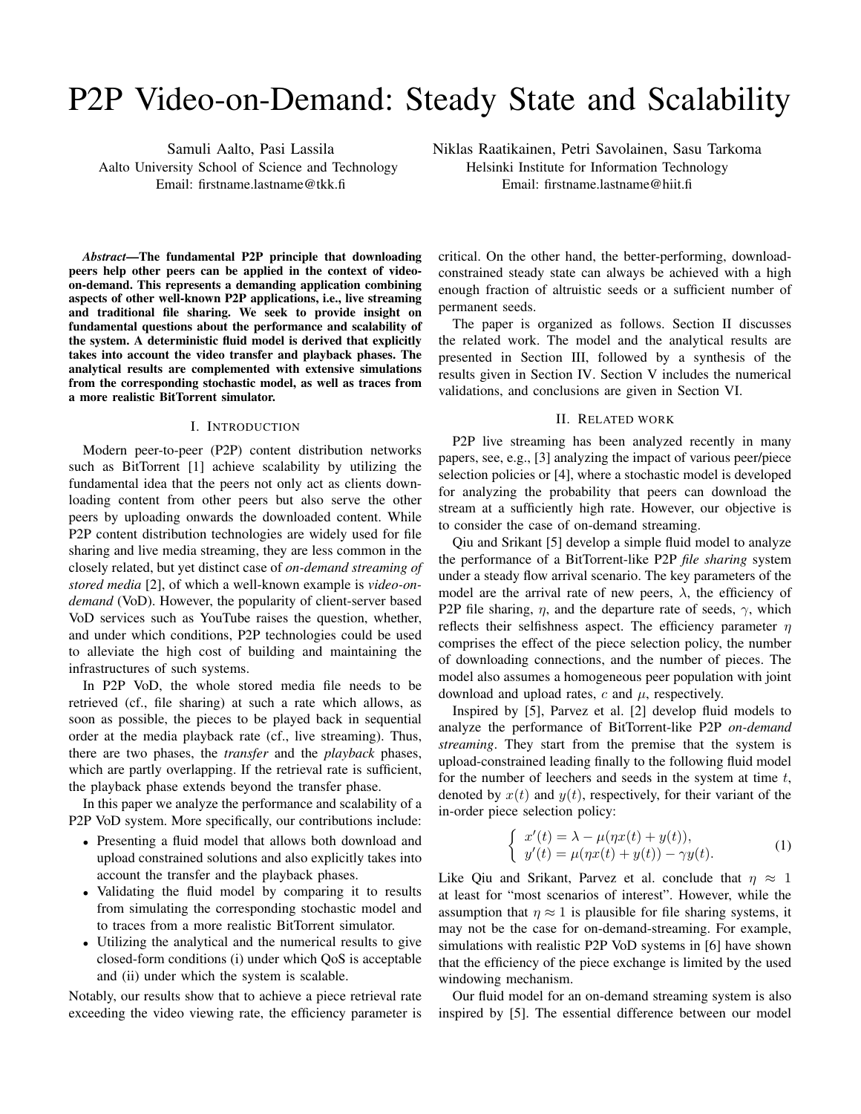# P2P Video-on-Demand: Steady State and Scalability

Samuli Aalto, Pasi Lassila Aalto University School of Science and Technology Email: firstname.lastname@tkk.fi

Niklas Raatikainen, Petri Savolainen, Sasu Tarkoma Helsinki Institute for Information Technology Email: firstname.lastname@hiit.fi

*Abstract*—The fundamental P2P principle that downloading peers help other peers can be applied in the context of videoon-demand. This represents a demanding application combining aspects of other well-known P2P applications, i.e., live streaming and traditional file sharing. We seek to provide insight on fundamental questions about the performance and scalability of the system. A deterministic fluid model is derived that explicitly takes into account the video transfer and playback phases. The analytical results are complemented with extensive simulations from the corresponding stochastic model, as well as traces from a more realistic BitTorrent simulator.

### I. INTRODUCTION

Modern peer-to-peer (P2P) content distribution networks such as BitTorrent [1] achieve scalability by utilizing the fundamental idea that the peers not only act as clients downloading content from other peers but also serve the other peers by uploading onwards the downloaded content. While P2P content distribution technologies are widely used for file sharing and live media streaming, they are less common in the closely related, but yet distinct case of *on-demand streaming of stored media* [2], of which a well-known example is *video-ondemand* (VoD). However, the popularity of client-server based VoD services such as YouTube raises the question, whether, and under which conditions, P2P technologies could be used to alleviate the high cost of building and maintaining the infrastructures of such systems.

In P2P VoD, the whole stored media file needs to be retrieved (cf., file sharing) at such a rate which allows, as soon as possible, the pieces to be played back in sequential order at the media playback rate (cf., live streaming). Thus, there are two phases, the *transfer* and the *playback* phases, which are partly overlapping. If the retrieval rate is sufficient, the playback phase extends beyond the transfer phase.

In this paper we analyze the performance and scalability of a P2P VoD system. More specifically, our contributions include:

- *•* Presenting a fluid model that allows both download and upload constrained solutions and also explicitly takes into account the transfer and the playback phases.
- *•* Validating the fluid model by comparing it to results from simulating the corresponding stochastic model and to traces from a more realistic BitTorrent simulator.
- *•* Utilizing the analytical and the numerical results to give closed-form conditions (i) under which QoS is acceptable and (ii) under which the system is scalable.

Notably, our results show that to achieve a piece retrieval rate exceeding the video viewing rate, the efficiency parameter is critical. On the other hand, the better-performing, downloadconstrained steady state can always be achieved with a high enough fraction of altruistic seeds or a sufficient number of permanent seeds.

The paper is organized as follows. Section II discusses the related work. The model and the analytical results are presented in Section III, followed by a synthesis of the results given in Section IV. Section V includes the numerical validations, and conclusions are given in Section VI.

## II. RELATED WORK

P2P live streaming has been analyzed recently in many papers, see, e.g., [3] analyzing the impact of various peer/piece selection policies or [4], where a stochastic model is developed for analyzing the probability that peers can download the stream at a sufficiently high rate. However, our objective is to consider the case of on-demand streaming.

Qiu and Srikant [5] develop a simple fluid model to analyze the performance of a BitTorrent-like P2P *file sharing* system under a steady flow arrival scenario. The key parameters of the model are the arrival rate of new peers,  $\lambda$ , the efficiency of P2P file sharing,  $\eta$ , and the departure rate of seeds,  $\gamma$ , which reflects their selfishness aspect. The efficiency parameter *η* comprises the effect of the piece selection policy, the number of downloading connections, and the number of pieces. The model also assumes a homogeneous peer population with joint download and upload rates,  $c$  and  $\mu$ , respectively.

Inspired by [5], Parvez et al. [2] develop fluid models to analyze the performance of BitTorrent-like P2P *on-demand streaming*. They start from the premise that the system is upload-constrained leading finally to the following fluid model for the number of leechers and seeds in the system at time *t*, denoted by  $x(t)$  and  $y(t)$ , respectively, for their variant of the in-order piece selection policy:

$$
\begin{cases}\nx'(t) = \lambda - \mu(\eta x(t) + y(t)), \ny'(t) = \mu(\eta x(t) + y(t)) - \gamma y(t).\n\end{cases}
$$
\n(1)

Like Qiu and Srikant, Parvez et al. conclude that  $\eta \approx 1$ at least for "most scenarios of interest". However, while the assumption that  $\eta \approx 1$  is plausible for file sharing systems, it may not be the case for on-demand-streaming. For example, simulations with realistic P2P VoD systems in [6] have shown that the efficiency of the piece exchange is limited by the used windowing mechanism.

Our fluid model for an on-demand streaming system is also inspired by [5]. The essential difference between our model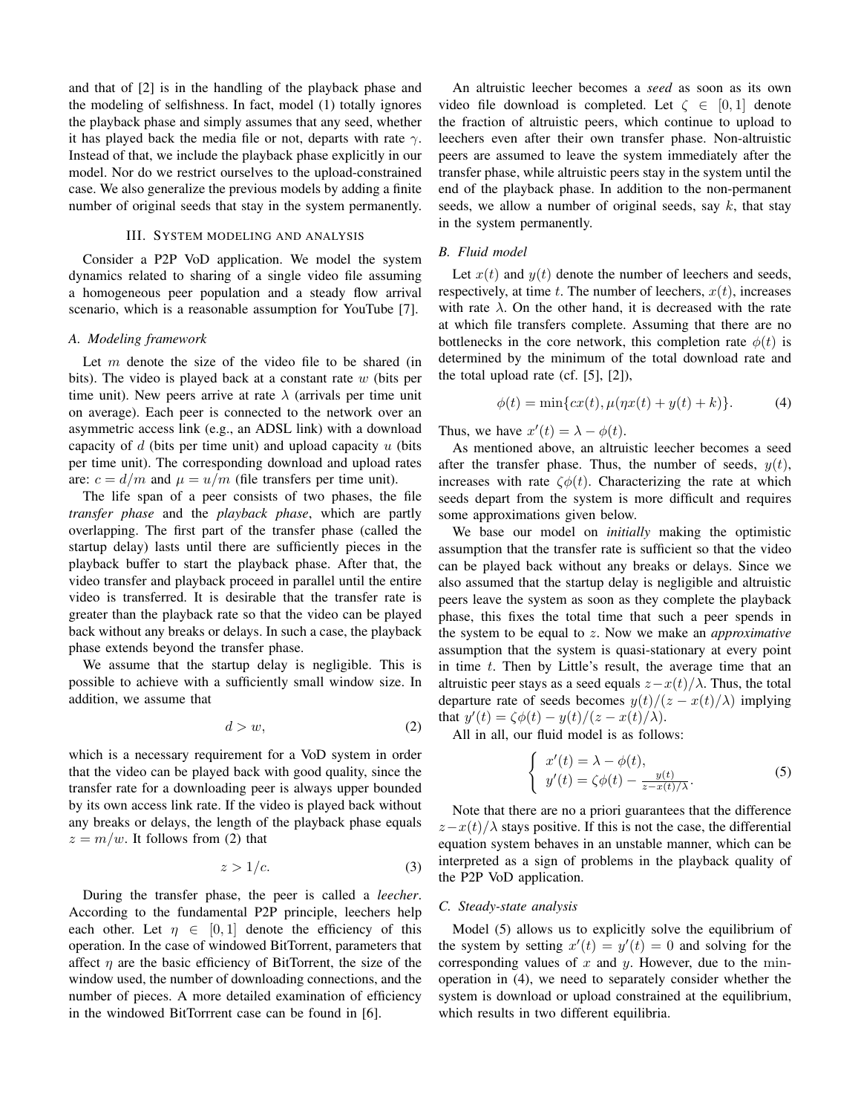and that of [2] is in the handling of the playback phase and the modeling of selfishness. In fact, model (1) totally ignores the playback phase and simply assumes that any seed, whether it has played back the media file or not, departs with rate *γ*. Instead of that, we include the playback phase explicitly in our model. Nor do we restrict ourselves to the upload-constrained case. We also generalize the previous models by adding a finite number of original seeds that stay in the system permanently.

## III. SYSTEM MODELING AND ANALYSIS

Consider a P2P VoD application. We model the system dynamics related to sharing of a single video file assuming a homogeneous peer population and a steady flow arrival scenario, which is a reasonable assumption for YouTube [7].

## *A. Modeling framework*

Let *m* denote the size of the video file to be shared (in bits). The video is played back at a constant rate *w* (bits per time unit). New peers arrive at rate  $\lambda$  (arrivals per time unit on average). Each peer is connected to the network over an asymmetric access link (e.g., an ADSL link) with a download capacity of *d* (bits per time unit) and upload capacity *u* (bits per time unit). The corresponding download and upload rates are:  $c = d/m$  and  $\mu = u/m$  (file transfers per time unit).

The life span of a peer consists of two phases, the file *transfer phase* and the *playback phase*, which are partly overlapping. The first part of the transfer phase (called the startup delay) lasts until there are sufficiently pieces in the playback buffer to start the playback phase. After that, the video transfer and playback proceed in parallel until the entire video is transferred. It is desirable that the transfer rate is greater than the playback rate so that the video can be played back without any breaks or delays. In such a case, the playback phase extends beyond the transfer phase.

We assume that the startup delay is negligible. This is possible to achieve with a sufficiently small window size. In addition, we assume that

$$
d > w,\tag{2}
$$

which is a necessary requirement for a VoD system in order that the video can be played back with good quality, since the transfer rate for a downloading peer is always upper bounded by its own access link rate. If the video is played back without any breaks or delays, the length of the playback phase equals  $z = m/w$ . It follows from (2) that

$$
z > 1/c.
$$
 (3)

During the transfer phase, the peer is called a *leecher*. According to the fundamental P2P principle, leechers help each other. Let  $\eta \in [0,1]$  denote the efficiency of this operation. In the case of windowed BitTorrent, parameters that affect  $\eta$  are the basic efficiency of BitTorrent, the size of the window used, the number of downloading connections, and the number of pieces. A more detailed examination of efficiency in the windowed BitTorrrent case can be found in [6].

An altruistic leecher becomes a *seed* as soon as its own video file download is completed. Let  $\zeta \in [0,1]$  denote the fraction of altruistic peers, which continue to upload to leechers even after their own transfer phase. Non-altruistic peers are assumed to leave the system immediately after the transfer phase, while altruistic peers stay in the system until the end of the playback phase. In addition to the non-permanent seeds, we allow a number of original seeds, say *k*, that stay in the system permanently.

## *B. Fluid model*

Let  $x(t)$  and  $y(t)$  denote the number of leechers and seeds, respectively, at time  $t$ . The number of leechers,  $x(t)$ , increases with rate  $\lambda$ . On the other hand, it is decreased with the rate at which file transfers complete. Assuming that there are no bottlenecks in the core network, this completion rate  $\phi(t)$  is determined by the minimum of the total download rate and the total upload rate (cf.  $[5]$ ,  $[2]$ ),

$$
\phi(t) = \min\{cx(t), \mu(\eta x(t) + y(t) + k)\}.
$$
 (4)

Thus, we have  $x'(t) = \lambda - \phi(t)$ .

As mentioned above, an altruistic leecher becomes a seed after the transfer phase. Thus, the number of seeds,  $y(t)$ , increases with rate  $\zeta \phi(t)$ . Characterizing the rate at which seeds depart from the system is more difficult and requires some approximations given below.

We base our model on *initially* making the optimistic assumption that the transfer rate is sufficient so that the video can be played back without any breaks or delays. Since we also assumed that the startup delay is negligible and altruistic peers leave the system as soon as they complete the playback phase, this fixes the total time that such a peer spends in the system to be equal to *z*. Now we make an *approximative* assumption that the system is quasi-stationary at every point in time *t*. Then by Little's result, the average time that an altruistic peer stays as a seed equals  $z - x(t)/\lambda$ . Thus, the total departure rate of seeds becomes  $y(t)/(z - x(t)/\lambda)$  implying that  $y'(t) = \zeta \phi(t) - y(t)/(z - x(t)/\lambda)$ .

All in all, our fluid model is as follows:

 $\sqrt{ }$ 

$$
x'(t) = \lambda - \phi(t),
$$
  
\n
$$
y'(t) = \zeta \phi(t) - \frac{y(t)}{z - x(t)/\lambda}.
$$
\n(5)

Note that there are no a priori guarantees that the difference  $z - x(t)/\lambda$  stays positive. If this is not the case, the differential equation system behaves in an unstable manner, which can be interpreted as a sign of problems in the playback quality of the P2P VoD application.

## *C. Steady-state analysis*

Model (5) allows us to explicitly solve the equilibrium of the system by setting  $x'(t) = y'(t) = 0$  and solving for the corresponding values of *x* and *y*. However, due to the minoperation in (4), we need to separately consider whether the system is download or upload constrained at the equilibrium, which results in two different equilibria.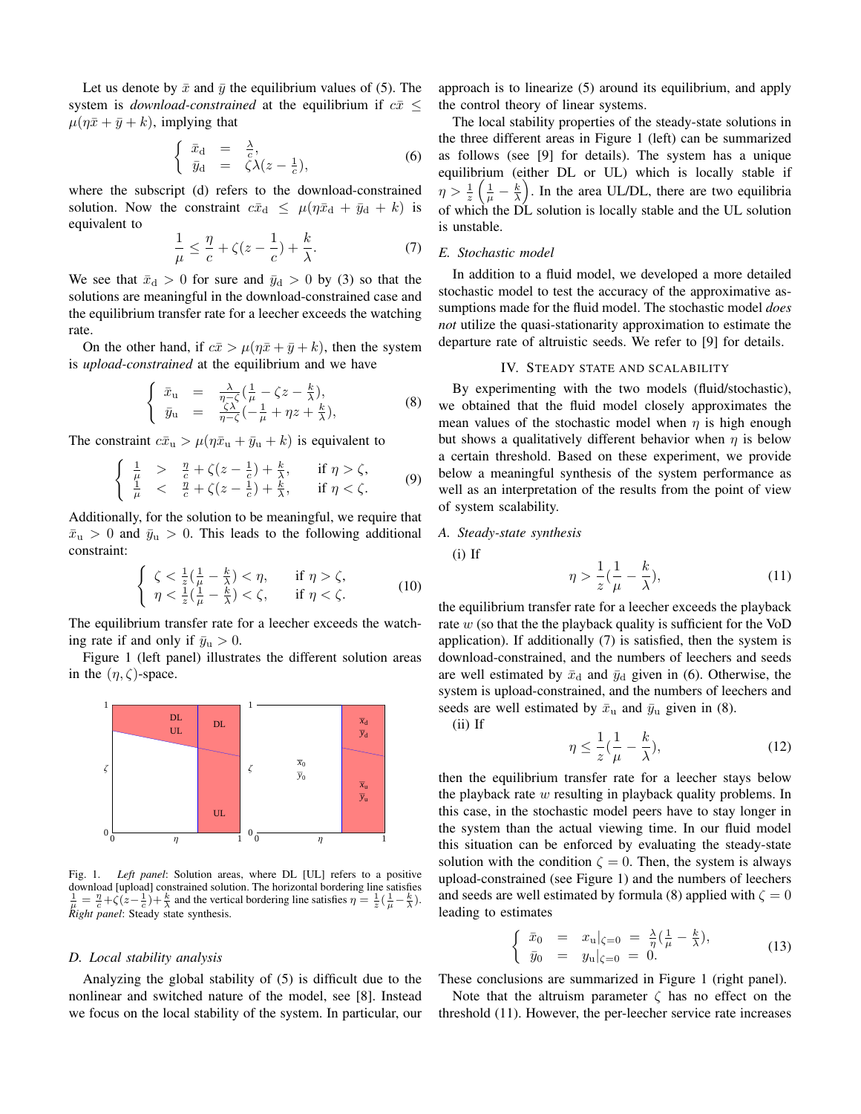Let us denote by  $\bar{x}$  and  $\bar{y}$  the equilibrium values of (5). The system is *download-constrained* at the equilibrium if  $c\bar{x} \leq$  $\mu(\eta \bar{x} + \bar{y} + k)$ , implying that

$$
\begin{cases} \bar{x}_{\rm d} = \frac{\lambda}{c}, \\ \bar{y}_{\rm d} = \zeta \lambda (z - \frac{1}{c}), \end{cases} \tag{6}
$$

where the subscript (d) refers to the download-constrained solution. Now the constraint  $c\bar{x}_d \leq \mu(\eta \bar{x}_d + \bar{y}_d + k)$  is equivalent to

$$
\frac{1}{\mu} \le \frac{\eta}{c} + \zeta(z - \frac{1}{c}) + \frac{k}{\lambda}.\tag{7}
$$

We see that  $\bar{x}_d > 0$  for sure and  $\bar{y}_d > 0$  by (3) so that the solutions are meaningful in the download-constrained case and the equilibrium transfer rate for a leecher exceeds the watching rate.

On the other hand, if  $c\bar{x} > \mu(\eta \bar{x} + \bar{y} + k)$ , then the system is *upload-constrained* at the equilibrium and we have

$$
\begin{cases}\n\bar{x}_{\mathbf{u}} = \frac{\lambda}{\eta - \zeta} \left( \frac{1}{\mu} - \zeta z - \frac{k}{\lambda} \right), \\
\bar{y}_{\mathbf{u}} = \frac{\zeta \lambda}{\eta - \zeta} \left( -\frac{1}{\mu} + \eta z + \frac{k}{\lambda} \right),\n\end{cases} \tag{8}
$$

The constraint  $c\bar{x}_u > \mu(\eta \bar{x}_u + \bar{y}_u + k)$  is equivalent to

$$
\begin{cases} \frac{1}{\mu} > \frac{\eta}{c} + \zeta(z - \frac{1}{c}) + \frac{k}{\lambda}, & \text{if } \eta > \zeta, \\ \frac{1}{\mu} < \frac{\eta}{c} + \zeta(z - \frac{1}{c}) + \frac{k}{\lambda}, & \text{if } \eta < \zeta. \end{cases} \tag{9}
$$

Additionally, for the solution to be meaningful, we require that  $\bar{x}_u > 0$  and  $\bar{y}_u > 0$ . This leads to the following additional constraint:

$$
\begin{cases} \zeta < \frac{1}{z}(\frac{1}{\mu} - \frac{k}{\lambda}) < \eta, & \text{if } \eta > \zeta, \\ \eta < \frac{1}{z}(\frac{1}{\mu} - \frac{k}{\lambda}) < \zeta, & \text{if } \eta < \zeta. \end{cases} \tag{10}
$$

The equilibrium transfer rate for a leecher exceeds the watching rate if and only if  $\bar{y}_u > 0$ .

Figure 1 (left panel) illustrates the different solution areas in the  $(\eta, \zeta)$ -space.



Fig. 1. *Left panel*: Solution areas, where DL [UL] refers to a positive download [upload] constrained solution. The horizontal bordering line satisfies  $\frac{1}{\mu} = \frac{\eta}{c} + \zeta(z - \frac{1}{c}) + \frac{k}{\lambda}$  and the vertical bordering line satisfies  $\eta = \frac{1}{z}(\frac{1}{\mu} - \frac{k}{\lambda})$ . *Right panel*: Steady state synthesis.

## *D. Local stability analysis*

Analyzing the global stability of (5) is difficult due to the nonlinear and switched nature of the model, see [8]. Instead we focus on the local stability of the system. In particular, our approach is to linearize (5) around its equilibrium, and apply the control theory of linear systems.

The local stability properties of the steady-state solutions in the three different areas in Figure 1 (left) can be summarized as follows (see [9] for details). The system has a unique equilibrium (either DL or UL) which is locally stable if  $\eta > \frac{1}{z}$  $\left(\frac{1}{\mu} - \frac{k}{\lambda}\right)$ ) . In the area UL/DL, there are two equilibria of which the DL solution is locally stable and the UL solution is unstable.

## *E. Stochastic model*

In addition to a fluid model, we developed a more detailed stochastic model to test the accuracy of the approximative assumptions made for the fluid model. The stochastic model *does not* utilize the quasi-stationarity approximation to estimate the departure rate of altruistic seeds. We refer to [9] for details.

# IV. STEADY STATE AND SCALABILITY

By experimenting with the two models (fluid/stochastic), we obtained that the fluid model closely approximates the mean values of the stochastic model when *η* is high enough but shows a qualitatively different behavior when *η* is below a certain threshold. Based on these experiment, we provide below a meaningful synthesis of the system performance as well as an interpretation of the results from the point of view of system scalability.

## *A. Steady-state synthesis*

(i) If

$$
\eta > \frac{1}{z} \left( \frac{1}{\mu} - \frac{k}{\lambda} \right),\tag{11}
$$

the equilibrium transfer rate for a leecher exceeds the playback rate *w* (so that the the playback quality is sufficient for the VoD application). If additionally (7) is satisfied, then the system is download-constrained, and the numbers of leechers and seeds are well estimated by  $\bar{x}_{d}$  and  $\bar{y}_{d}$  given in (6). Otherwise, the system is upload-constrained, and the numbers of leechers and seeds are well estimated by  $\bar{x}_{\rm u}$  and  $\bar{y}_{\rm u}$  given in (8).

(ii) If

$$
\eta \le \frac{1}{z} \left( \frac{1}{\mu} - \frac{k}{\lambda} \right),\tag{12}
$$

then the equilibrium transfer rate for a leecher stays below the playback rate *w* resulting in playback quality problems. In this case, in the stochastic model peers have to stay longer in the system than the actual viewing time. In our fluid model this situation can be enforced by evaluating the steady-state solution with the condition  $\zeta = 0$ . Then, the system is always upload-constrained (see Figure 1) and the numbers of leechers and seeds are well estimated by formula (8) applied with  $\zeta = 0$ leading to estimates

$$
\begin{cases} \bar{x}_0 = x_u|_{\zeta=0} = \frac{\lambda}{\eta} (\frac{1}{\mu} - \frac{k}{\lambda}), \\ \bar{y}_0 = y_u|_{\zeta=0} = 0. \end{cases}
$$
 (13)

These conclusions are summarized in Figure 1 (right panel).

Note that the altruism parameter  $\zeta$  has no effect on the threshold (11). However, the per-leecher service rate increases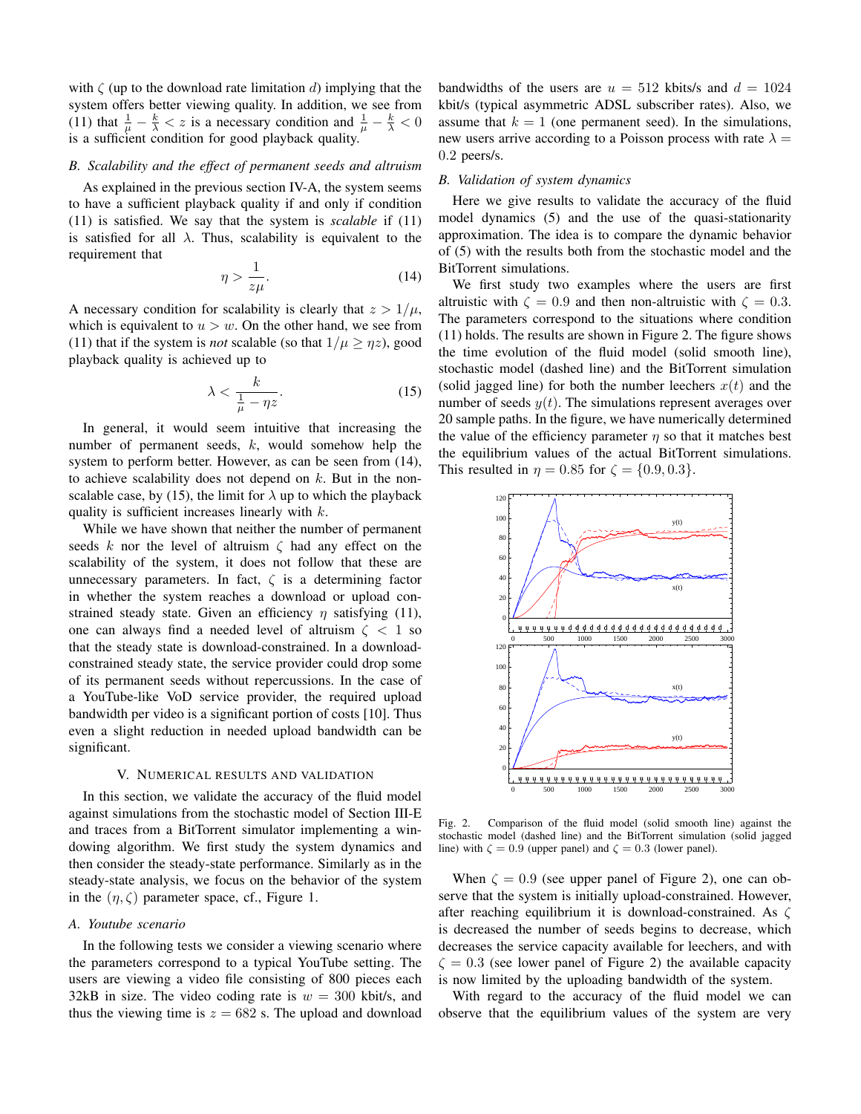with *ζ* (up to the download rate limitation *d*) implying that the system offers better viewing quality. In addition, we see from (11) that  $\frac{1}{\mu} - \frac{k}{\lambda} < z$  is a necessary condition and  $\frac{1}{\mu} - \frac{k}{\lambda} < 0$ is a sufficient condition for good playback quality.

# *B. Scalability and the effect of permanent seeds and altruism*

As explained in the previous section IV-A, the system seems to have a sufficient playback quality if and only if condition (11) is satisfied. We say that the system is *scalable* if (11) is satisfied for all  $\lambda$ . Thus, scalability is equivalent to the requirement that

$$
\eta > \frac{1}{z\mu}.\tag{14}
$$

A necessary condition for scalability is clearly that  $z > 1/\mu$ , which is equivalent to  $u > w$ . On the other hand, we see from (11) that if the system is *not* scalable (so that  $1/\mu \ge \eta z$ ), good playback quality is achieved up to

$$
\lambda < \frac{k}{\frac{1}{\mu} - \eta z}.\tag{15}
$$

In general, it would seem intuitive that increasing the number of permanent seeds, *k*, would somehow help the system to perform better. However, as can be seen from (14), to achieve scalability does not depend on *k*. But in the nonscalable case, by (15), the limit for  $\lambda$  up to which the playback quality is sufficient increases linearly with *k*.

While we have shown that neither the number of permanent seeds *k* nor the level of altruism *ζ* had any effect on the scalability of the system, it does not follow that these are unnecessary parameters. In fact,  $\zeta$  is a determining factor in whether the system reaches a download or upload constrained steady state. Given an efficiency *η* satisfying (11), one can always find a needed level of altruism *ζ <* 1 so that the steady state is download-constrained. In a downloadconstrained steady state, the service provider could drop some of its permanent seeds without repercussions. In the case of a YouTube-like VoD service provider, the required upload bandwidth per video is a significant portion of costs [10]. Thus even a slight reduction in needed upload bandwidth can be significant.

## V. NUMERICAL RESULTS AND VALIDATION

In this section, we validate the accuracy of the fluid model against simulations from the stochastic model of Section III-E and traces from a BitTorrent simulator implementing a windowing algorithm. We first study the system dynamics and then consider the steady-state performance. Similarly as in the steady-state analysis, we focus on the behavior of the system in the  $(\eta, \zeta)$  parameter space, cf., Figure 1.

## *A. Youtube scenario*

In the following tests we consider a viewing scenario where the parameters correspond to a typical YouTube setting. The users are viewing a video file consisting of 800 pieces each 32kB in size. The video coding rate is  $w = 300$  kbit/s, and thus the viewing time is  $z = 682$  s. The upload and download bandwidths of the users are  $u = 512$  kbits/s and  $d = 1024$ kbit/s (typical asymmetric ADSL subscriber rates). Also, we assume that  $k = 1$  (one permanent seed). In the simulations, new users arrive according to a Poisson process with rate  $\lambda =$ 0*.*2 peers/s.

#### *B. Validation of system dynamics*

Here we give results to validate the accuracy of the fluid model dynamics (5) and the use of the quasi-stationarity approximation. The idea is to compare the dynamic behavior of (5) with the results both from the stochastic model and the BitTorrent simulations.

We first study two examples where the users are first altruistic with  $\zeta = 0.9$  and then non-altruistic with  $\zeta = 0.3$ . The parameters correspond to the situations where condition (11) holds. The results are shown in Figure 2. The figure shows the time evolution of the fluid model (solid smooth line), stochastic model (dashed line) and the BitTorrent simulation (solid jagged line) for both the number leechers  $x(t)$  and the number of seeds  $y(t)$ . The simulations represent averages over 20 sample paths. In the figure, we have numerically determined the value of the efficiency parameter  $\eta$  so that it matches best the equilibrium values of the actual BitTorrent simulations. This resulted in  $\eta = 0.85$  for  $\zeta = \{0.9, 0.3\}$ .



Fig. 2. Comparison of the fluid model (solid smooth line) against the stochastic model (dashed line) and the BitTorrent simulation (solid jagged line) with  $\zeta = 0.9$  (upper panel) and  $\zeta = 0.3$  (lower panel).

When  $\zeta = 0.9$  (see upper panel of Figure 2), one can observe that the system is initially upload-constrained. However, after reaching equilibrium it is download-constrained. As *ζ* is decreased the number of seeds begins to decrease, which decreases the service capacity available for leechers, and with  $\zeta = 0.3$  (see lower panel of Figure 2) the available capacity is now limited by the uploading bandwidth of the system.

With regard to the accuracy of the fluid model we can observe that the equilibrium values of the system are very